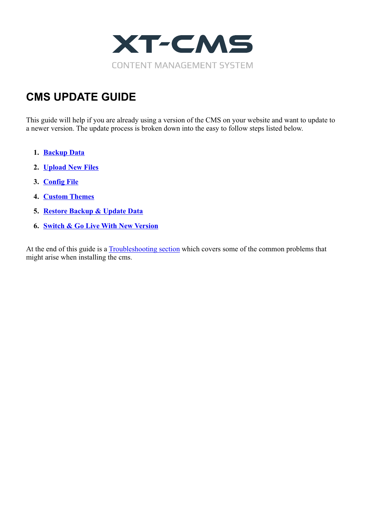

## **CMS UPDATE GUIDE**

This guide will help if you are already using a version of the CMS on your website and want to update to a newer version. The update process is broken down into the easy to follow steps listed below.

- **1. [Backup Data](#page-1-0)**
- **2. [Upload New Files](#page-2-0)**
- **3. [Config File](#page-3-0)**
- **4. [Custom Themes](#page-4-0)**
- **5. [Restore Backup & Update Data](#page-5-0)**
- **6. [Switch & Go Live With New Version](#page-6-0)**

At the end of this guide is a **Troubleshooting section** which covers some of the common problems that might arise when installing the cms.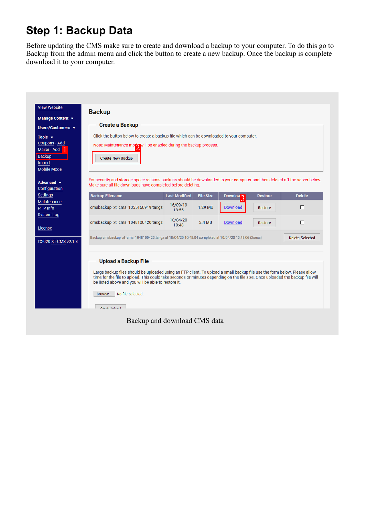# <span id="page-1-0"></span>**Step 1: Backup Data**

Before updating the CMS make sure to create and download a backup to your computer. To do this go to Backup from the admin menu and click the button to create a new backup. Once the backup is complete download it to your computer.

| <b>View Website</b><br>Manage Content $\sim$ | <b>Backup</b>                                                                                                                                                                         |                      |                  |                      |                |                        |  |
|----------------------------------------------|---------------------------------------------------------------------------------------------------------------------------------------------------------------------------------------|----------------------|------------------|----------------------|----------------|------------------------|--|
| Users/Customers -                            | <b>Create a Backup</b>                                                                                                                                                                |                      |                  |                      |                |                        |  |
| Tools $\blacktriangleright$                  | Click the button below to create a backup file which can be downloaded to your computer.                                                                                              |                      |                  |                      |                |                        |  |
| Coupons - Add                                | Note: Maintenance motor will be enabled during the backup process.                                                                                                                    |                      |                  |                      |                |                        |  |
| Mailer - Add<br><b>Backup</b>                |                                                                                                                                                                                       |                      |                  |                      |                |                        |  |
| Import                                       | Create New Backup                                                                                                                                                                     |                      |                  |                      |                |                        |  |
| Mobile Mode                                  |                                                                                                                                                                                       |                      |                  |                      |                |                        |  |
| Advanced $\sim$                              | For security and storage space reasons backups should be downloaded to your computer and then deleted off the server below.                                                           |                      |                  |                      |                |                        |  |
| Configuration                                | Make sure all file downloads have completed before deleting.                                                                                                                          |                      |                  |                      |                |                        |  |
| <b>Settings</b>                              | <b>Backup Filename</b>                                                                                                                                                                | <b>Last Modified</b> | <b>File Size</b> | Downloa <sub>3</sub> | <b>Restore</b> | <b>Delete</b>          |  |
| <b>Maintenance</b>                           | cmsbackup_xt_cms_1355160919.tar.gz                                                                                                                                                    | 16/09/19             | 1.29 MB          | <b>Download</b>      |                | п                      |  |
| <b>PHP Info</b><br><b>System Log</b>         |                                                                                                                                                                                       | 13:55                |                  |                      | Restore        |                        |  |
|                                              | cmsbackup_xt_cms_1048100420.tar.qz                                                                                                                                                    | 10/04/20             | 2.4 MB           | <b>Download</b>      | Restore        | П                      |  |
| License                                      |                                                                                                                                                                                       | 10:48                |                  |                      |                |                        |  |
|                                              | Backup cmsbackup_xt_cms_1048100420.tar.gz at 10/04/20 10:48:04 completed at 10/04/20 10:48:06 (2secs)                                                                                 |                      |                  |                      |                | <b>Delete Selected</b> |  |
| @2020 XT-CMS v2.1.3                          |                                                                                                                                                                                       |                      |                  |                      |                |                        |  |
|                                              |                                                                                                                                                                                       |                      |                  |                      |                |                        |  |
|                                              | <b>Upload a Backup File</b>                                                                                                                                                           |                      |                  |                      |                |                        |  |
|                                              | Large backup files should be uploaded using an FTP client. To upload a small backup file use the form below. Please allow                                                             |                      |                  |                      |                |                        |  |
|                                              | time for the file to upload. This could take seconds or minutes depending on the file size. Once uploaded the backup file will<br>be listed above and you will be able to restore it. |                      |                  |                      |                |                        |  |
|                                              |                                                                                                                                                                                       |                      |                  |                      |                |                        |  |
|                                              |                                                                                                                                                                                       |                      |                  |                      |                |                        |  |
|                                              | No file selected.<br>Browse                                                                                                                                                           |                      |                  |                      |                |                        |  |
|                                              | Chart Unload                                                                                                                                                                          |                      |                  |                      |                |                        |  |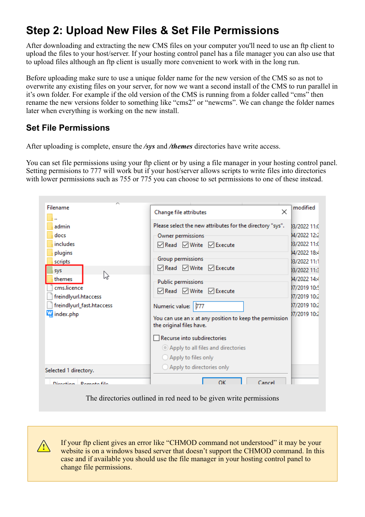## <span id="page-2-0"></span>**Step 2: Upload New Files & Set File Permissions**

After downloading and extracting the new CMS files on your computer you'll need to use an ftp client to upload the files to your host/server. If your hosting control panel has a file manager you can also use that to upload files although an ftp client is usually more convenient to work with in the long run.

Before uploading make sure to use a unique folder name for the new version of the CMS so as not to overwrite any existing files on your server, for now we want a second install of the CMS to run parallel in it's own folder. For example if the old version of the CMS is running from a folder called "cms" then rename the new versions folder to something like "cms2" or "newcms". We can change the folder names later when everything is working on the new install.

### **Set File Permissions**

**!**

After uploading is complete, ensure the */sys* and */themes* directories have write access.

You can set file permissions using your ftp client or by using a file manager in your hosting control panel. Setting permisions to 777 will work but if your host/server allows scripts to write files into directories with lower permissions such as 755 or 775 you can choose to set permissions to one of these instead.

| Filename<br>admin<br>docs<br>includes<br>plugins<br>scripts<br>sys<br>V<br>themes<br>cms.licence<br>freindlyurl.htaccess<br>freindlyurl_fast.htaccess<br>index.php | $\times$<br>Change file attributes<br>Please select the new attributes for the directory "sys".<br>Owner permissions<br><b>ØRead</b> ØWrite ØExecute<br>Group permissions<br><b>ØRead</b> ØWrite ØExecute<br>Public permissions<br><b>ØRead</b> ØWrite ØExecute<br>Numeric value:<br>777<br>You can use an x at any position to keep the permission<br>the original files have.<br>Recurse into subdirectories<br>Apply to all files and directories<br>◯ Apply to files only | modified<br>03/2022 11:0<br>M/2022 12:2<br>03/2022 11:0<br>04/2022 18:4<br>03/2022 11:1<br>03/2022 11:3<br>14/2022 14:4<br>17/2019 10:5<br>17/2019 10:2<br>17/2019 10:2<br>17/2019 10:2 |
|--------------------------------------------------------------------------------------------------------------------------------------------------------------------|-------------------------------------------------------------------------------------------------------------------------------------------------------------------------------------------------------------------------------------------------------------------------------------------------------------------------------------------------------------------------------------------------------------------------------------------------------------------------------|-----------------------------------------------------------------------------------------------------------------------------------------------------------------------------------------|
| Selected 1 directory.<br>Direction <b>Demote file</b>                                                                                                              | ○ Apply to directories only<br>OK<br>Cancel                                                                                                                                                                                                                                                                                                                                                                                                                                   |                                                                                                                                                                                         |

The directories outlined in red need to be given write permissions

If your ftp client gives an error like "CHMOD command not understood" it may be your website is on a windows based server that doesn't support the CHMOD command. In this case and if available you should use the file manager in your hosting control panel to change file permissions.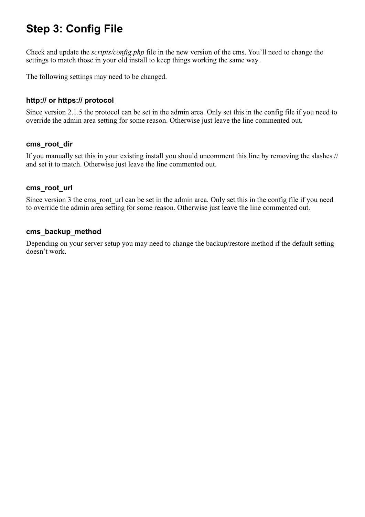## <span id="page-3-0"></span>**Step 3: Config File**

Check and update the *scripts/config.php* file in the new version of the cms. You'll need to change the settings to match those in your old install to keep things working the same way.

The following settings may need to be changed.

### **http:// or https:// protocol**

Since version 2.1.5 the protocol can be set in the admin area. Only set this in the config file if you need to override the admin area setting for some reason. Otherwise just leave the line commented out.

#### **cms\_root\_dir**

If you manually set this in your existing install you should uncomment this line by removing the slashes // and set it to match. Otherwise just leave the line commented out.

#### **cms\_root\_url**

Since version 3 the cms root url can be set in the admin area. Only set this in the config file if you need to override the admin area setting for some reason. Otherwise just leave the line commented out.

#### **cms\_backup\_method**

Depending on your server setup you may need to change the backup/restore method if the default setting doesn't work.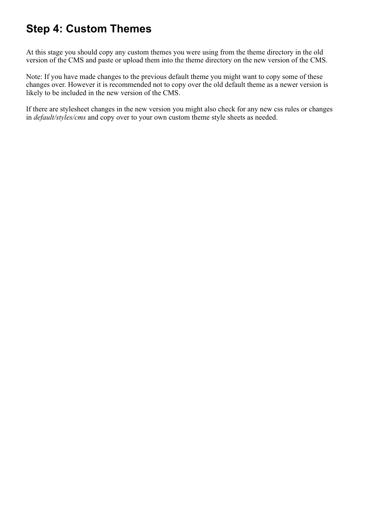## <span id="page-4-0"></span>**Step 4: Custom Themes**

At this stage you should copy any custom themes you were using from the theme directory in the old version of the CMS and paste or upload them into the theme directory on the new version of the CMS.

Note: If you have made changes to the previous default theme you might want to copy some of these changes over. However it is recommended not to copy over the old default theme as a newer version is likely to be included in the new version of the CMS.

If there are stylesheet changes in the new version you might also check for any new css rules or changes in *default/styles/cms* and copy over to your own custom theme style sheets as needed.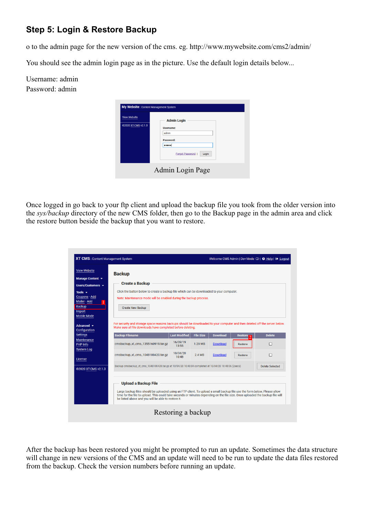## <span id="page-5-0"></span>**Step 5: Login & Restore Backup**

o to the admin page for the new version of the cms. eg. http://www.mywebsite.com/cms2/admin/

You should see the admin login page as in the picture. Use the default login details below...

Username: admin Password: admin

| <b>View Website</b><br>@2020 XT-CMS v2.1.3 | <b>Admin Login</b><br>Username:<br>admin<br>Password:<br><br>Forgot Password  <br>Login |
|--------------------------------------------|-----------------------------------------------------------------------------------------|
|--------------------------------------------|-----------------------------------------------------------------------------------------|

Once logged in go back to your ftp client and upload the backup file you took from the older version into the *sys/backup* directory of the new CMS folder, then go to the Backup page in the admin area and click the restore button beside the backup that you want to restore.

| <b>View Website</b>                                            |                                                                                                       |                            |         |                 |         |                        |
|----------------------------------------------------------------|-------------------------------------------------------------------------------------------------------|----------------------------|---------|-----------------|---------|------------------------|
| Manage Content ~                                               | <b>Backup</b>                                                                                         |                            |         |                 |         |                        |
|                                                                | <b>Create a Backup</b>                                                                                |                            |         |                 |         |                        |
| Users/Customers $\sim$                                         |                                                                                                       |                            |         |                 |         |                        |
| Tools $\sim$                                                   | Click the button below to create a backup file which can be downloaded to your computer.              |                            |         |                 |         |                        |
| Coupons - Add                                                  | Note: Maintenance mode will be enabled during the backup process.                                     |                            |         |                 |         |                        |
| Mailer - Add                                                   |                                                                                                       |                            |         |                 |         |                        |
| <b>Backup</b><br><b>Import</b>                                 | <b>Create New Backup</b>                                                                              |                            |         |                 |         |                        |
| <b>Mobile Mode</b>                                             |                                                                                                       |                            |         |                 |         |                        |
|                                                                |                                                                                                       | 16/09/19                   | 1.29 MB | <b>Download</b> | Restore | П                      |
| <b>Maintenance</b><br>PHP Info<br><b>System Log</b><br>License | cmsbackup_xt_cms_1355160919.tar.gz<br>cmsbackup_xt_cms_1048100420.tar.gz                              | 13:55<br>10/04/20<br>10:48 | 2.4 MB  | <b>Download</b> | Restore | П                      |
| @2020 XT-CMS v2.1.3                                            | Backup cmsbackup_xt_cms_1048100420.tar.gz at 10/04/20 10:48:04 completed at 10/04/20 10:48:06 (2secs) |                            |         |                 |         | <b>Delete Selected</b> |

After the backup has been restored you might be prompted to run an update. Sometimes the data structure will change in new versions of the CMS and an update will need to be run to update the data files restored from the backup. Check the version numbers before running an update.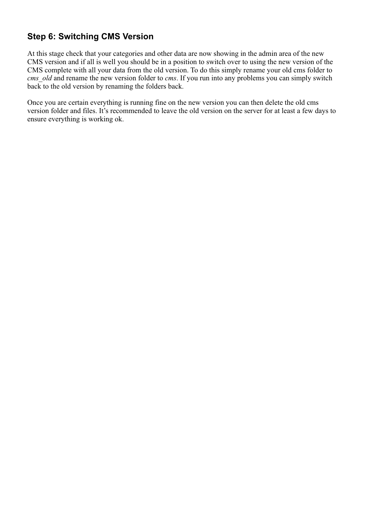## <span id="page-6-0"></span>**Step 6: Switching CMS Version**

At this stage check that your categories and other data are now showing in the admin area of the new CMS version and if all is well you should be in a position to switch over to using the new version of the CMS complete with all your data from the old version. To do this simply rename your old cms folder to *cms old* and rename the new version folder to *cms*. If you run into any problems you can simply switch back to the old version by renaming the folders back.

Once you are certain everything is running fine on the new version you can then delete the old cms version folder and files. It's recommended to leave the old version on the server for at least a few days to ensure everything is working ok.